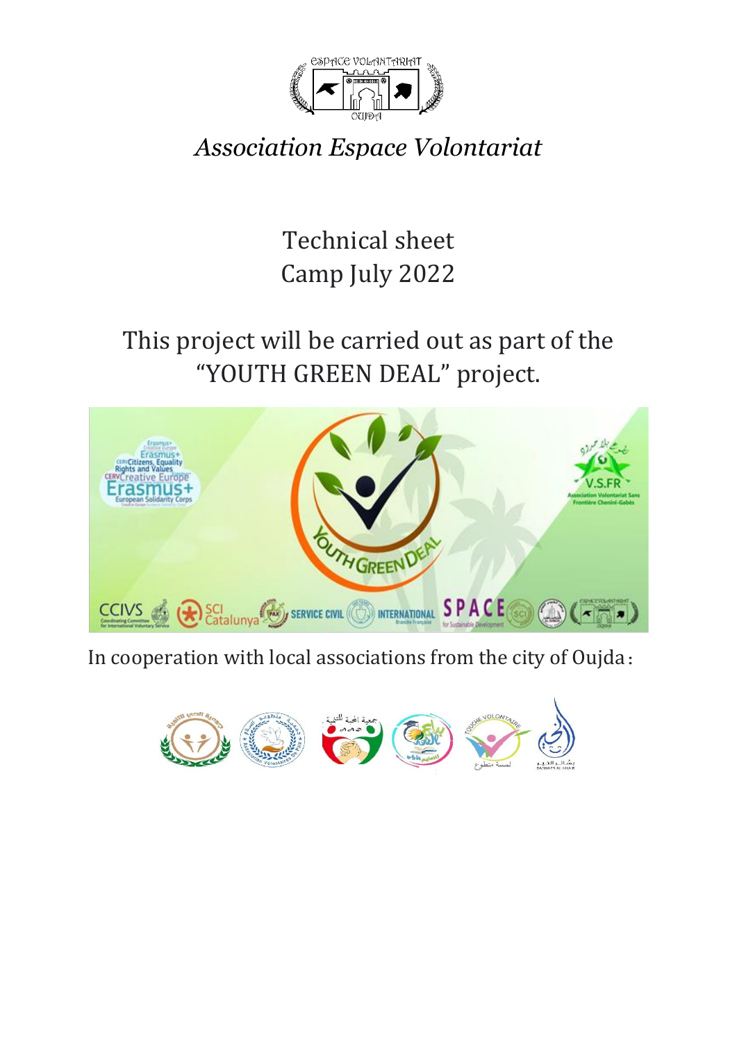

*Association Espace Volontariat*

Technical sheet Camp July 2022

# This project will be carried out as part of the "YOUTH GREEN DEAL" project.



In cooperation with local associations from the city of Oujda :

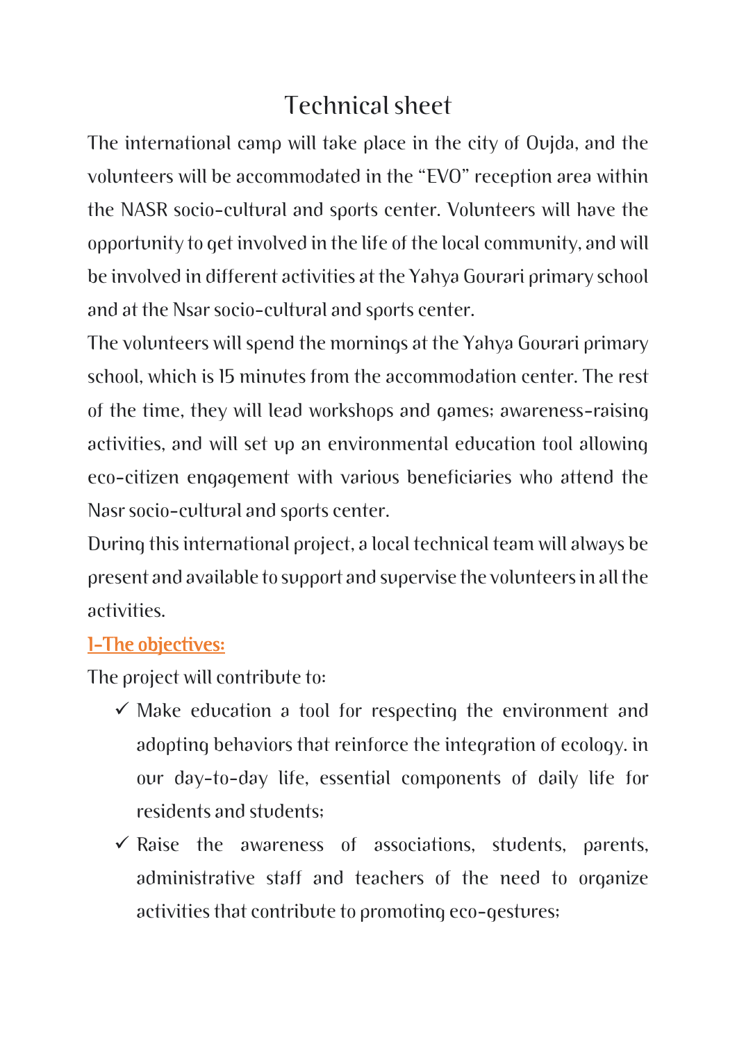## Technical sheet

The international camp will take place in the city of Oujda, and the volunteers will be accommodated in the "EVO" reception area within the NASR socio-cultural and sports center. Volunteers will have the opportunity to get involved in the life of the local community, and will be involved in different activities at the Yahya Gourari primary school and at the Nsar socio-cultural and sports center.

The volunteers will spend the mornings at the Yahya Gourari primary school, which is 15 minutes from the accommodation center. The rest of the time, they will lead workshops and games; awareness-raising activities, and will set up an environmental education tool allowing eco-citizen engagement with various beneficiaries who attend the Nasr socio-cultural and sports center.

During this international project, a local technical team will always be present and available to support and supervise the volunteers in all the activities.

#### 1-The objectives:

The project will contribute to:

- $\checkmark$  Make education a tool for respecting the environment and adopting behaviors that reinforce the integration of ecology. in our day-to-day life, essential components of daily life for residents and students;
- $\checkmark$  Raise the awareness of associations, students, parents, administrative staff and teachers of the need to organize activities that contribute to promoting eco-gestures;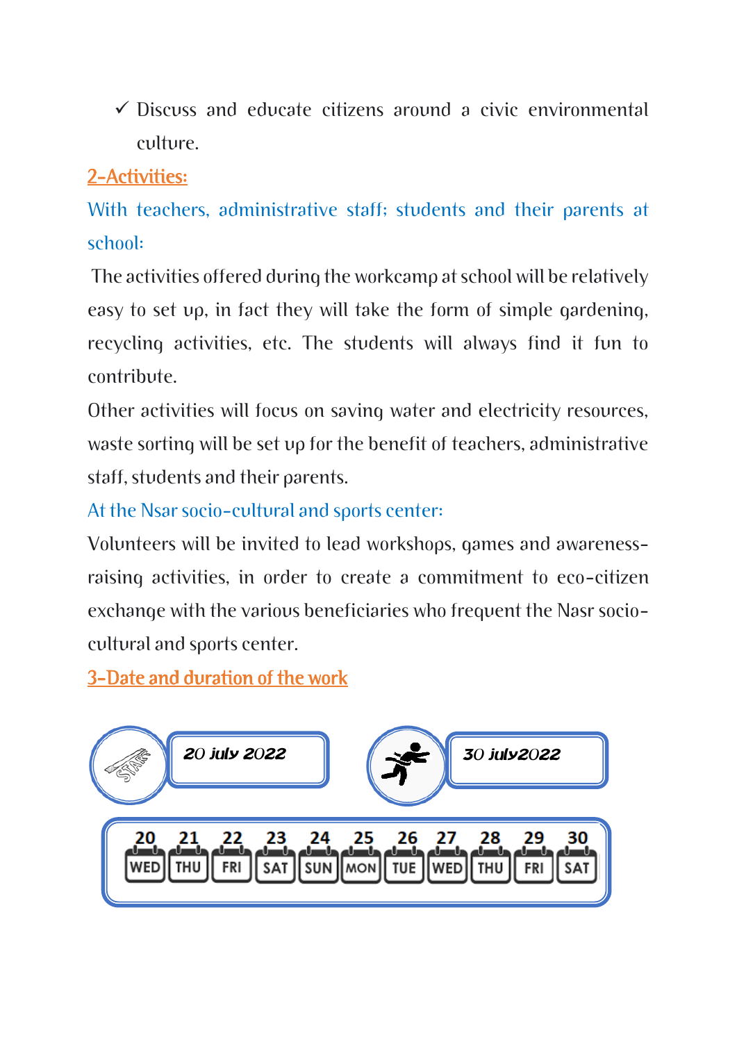$\checkmark$  Discuss and educate citizens around a civic environmental culture.

## 2-Activities:

With teachers, administrative staff; students and their parents at school:

The activities offered during the workcamp at school will be relatively easy to set up, in fact they will take the form of simple gardening, recycling activities, etc. The students will always find it fun to contribute.

Other activities will focus on saving water and electricity resources, waste sorting will be set up for the benefit of teachers, administrative staff, students and their parents.

At the Nsar socio-cultural and sports center:

Volunteers will be invited to lead workshops, games and awarenessraising activities, in order to create a commitment to eco-citizen exchange with the various beneficiaries who frequent the Nasr sociocultural and sports center.

3-Date and duration of the work

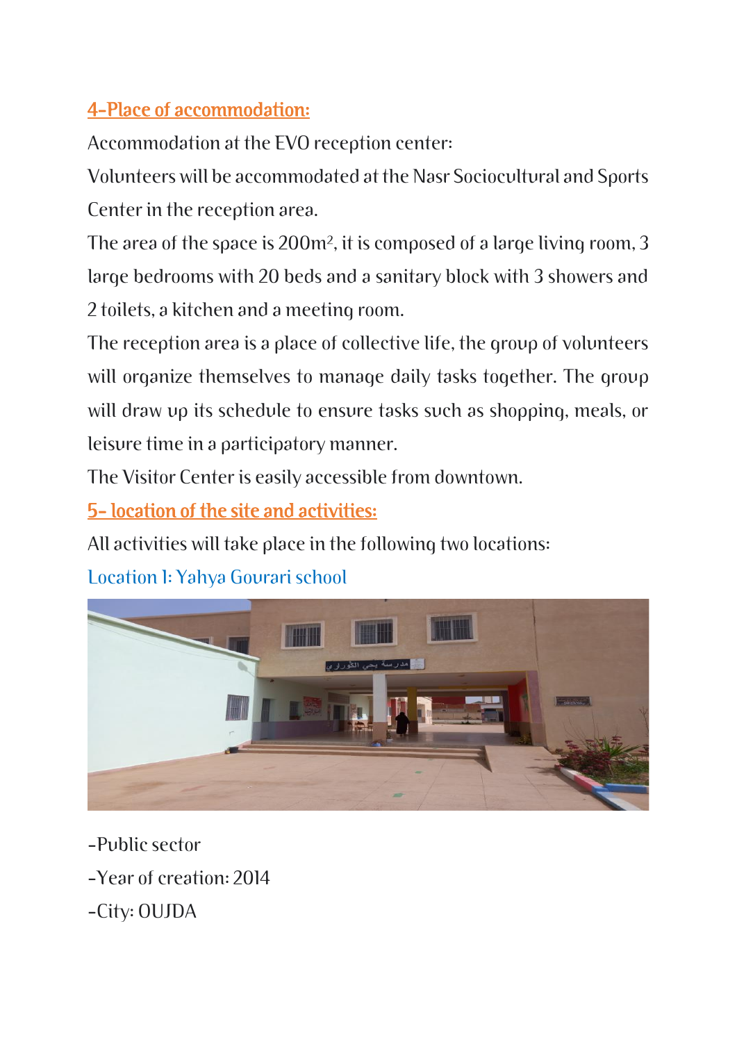## 4-Place of accommodation:

Accommodation at the EVO reception center:

Volunteers will be accommodated at the Nasr Sociocultural and Sports Center in the reception area.

The area of the space is 200m², it is composed of a large living room, 3 large bedrooms with 20 beds and a sanitary block with 3 showers and 2 toilets, a kitchen and a meeting room.

The reception area is a place of collective life, the group of volunteers will organize themselves to manage daily tasks together. The group will draw up its schedule to ensure tasks such as shopping, meals, or leisure time in a participatory manner.

The Visitor Center is easily accessible from downtown.

5- location of the site and activities:

All activities will take place in the following two locations:

Location 1: Yahya Gourari school



-Public sector

- -Year of creation: 2014
- -City: OUJDA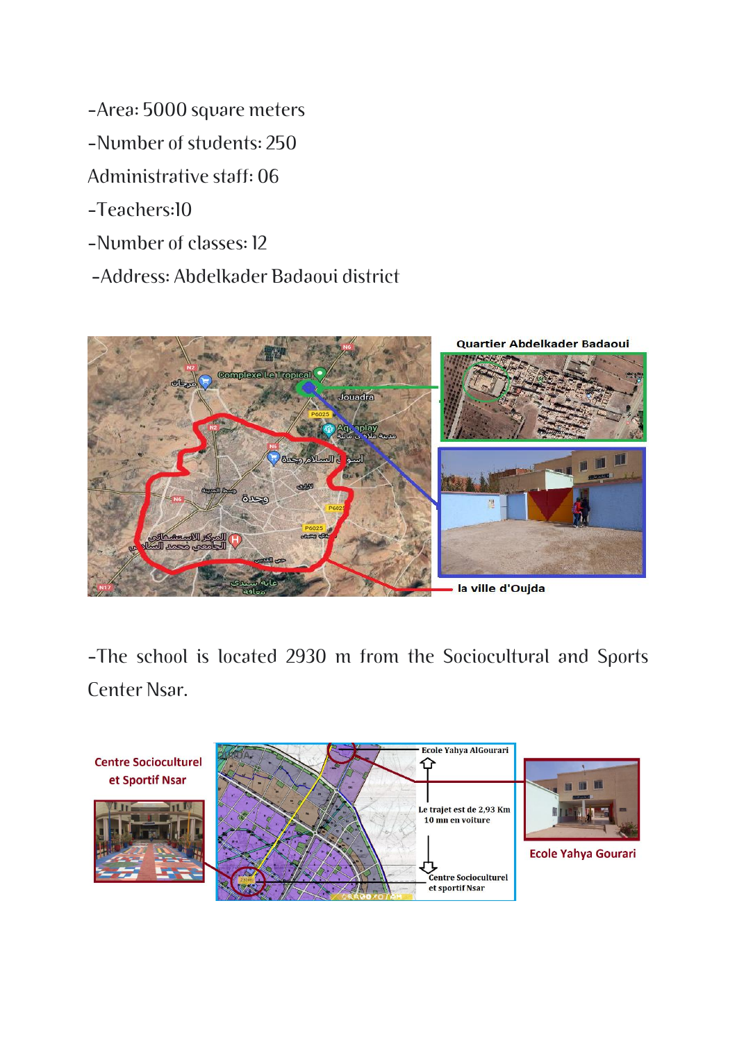- -Area: 5000 square meters
- -Number of students: 250
- Administrative staff: 06
- -Teachers:10
- -Number of classes: 12
- -Address: Abdelkader Badaoui district



-The school is located 2930 m from the Sociocultural and Sports Center Nsar.

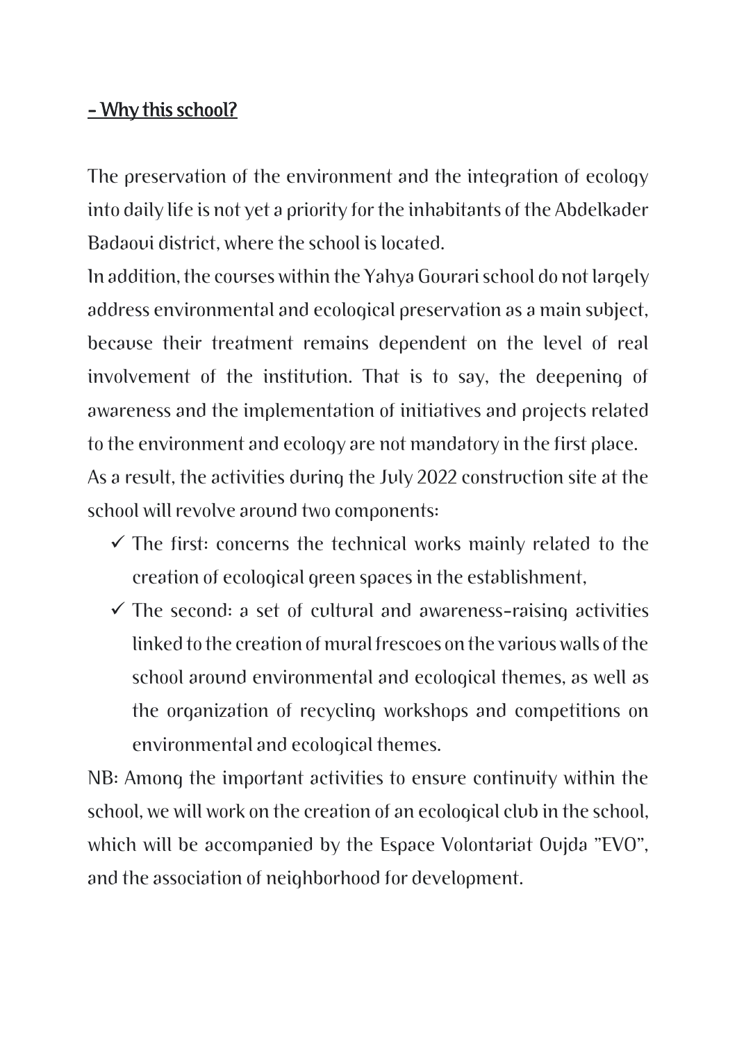#### - Why this school?

The preservation of the environment and the integration of ecology into daily life is not yet a priority for the inhabitants of the Abdelkader Badaoui district, where the school is located.

In addition, the courses within the Yahya Gourari school do not largely address environmental and ecological preservation as a main subject, because their treatment remains dependent on the level of real involvement of the institution. That is to say, the deepening of awareness and the implementation of initiatives and projects related to the environment and ecology are not mandatory in the first place. As a result, the activities during the July 2022 construction site at the school will revolve around two components:

- $\checkmark$  The first: concerns the technical works mainly related to the creation of ecological green spaces in the establishment,
- $\checkmark$  The second: a set of cultural and awareness-raising activities linked to the creation of mural frescoes on the various walls of the school around environmental and ecological themes, as well as the organization of recycling workshops and competitions on environmental and ecological themes.

NB: Among the important activities to ensure continuity within the school, we will work on the creation of an ecological club in the school, which will be accompanied by the Espace Volontariat Oujda "EVO", and the association of neighborhood for development.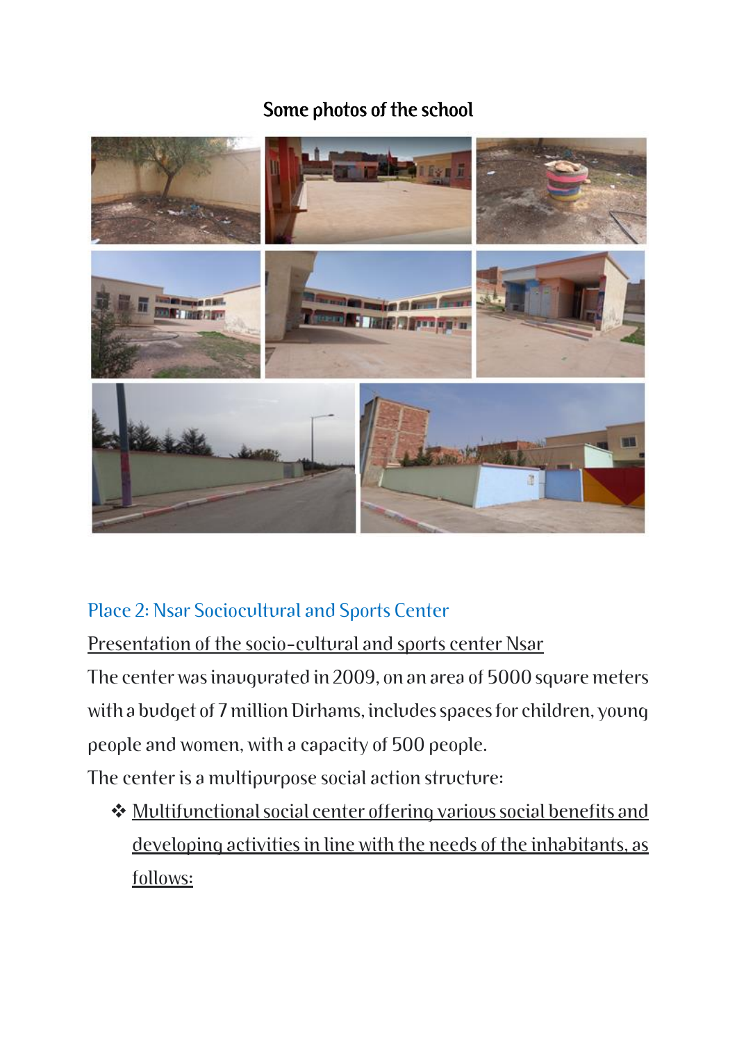#### Some photos of the school



#### Place 2: Nsar Sociocultural and Sports Center

Presentation of the socio-cultural and sports center Nsar

The center was inaugurated in 2009, on an area of 5000 square meters with a budget of 7 million Dirhams, includes spaces for children, young people and women, with a capacity of 500 people.

The center is a multipurpose social action structure:

❖ Multifunctional social center offering various social benefits and developing activities in line with the needs of the inhabitants, as follows: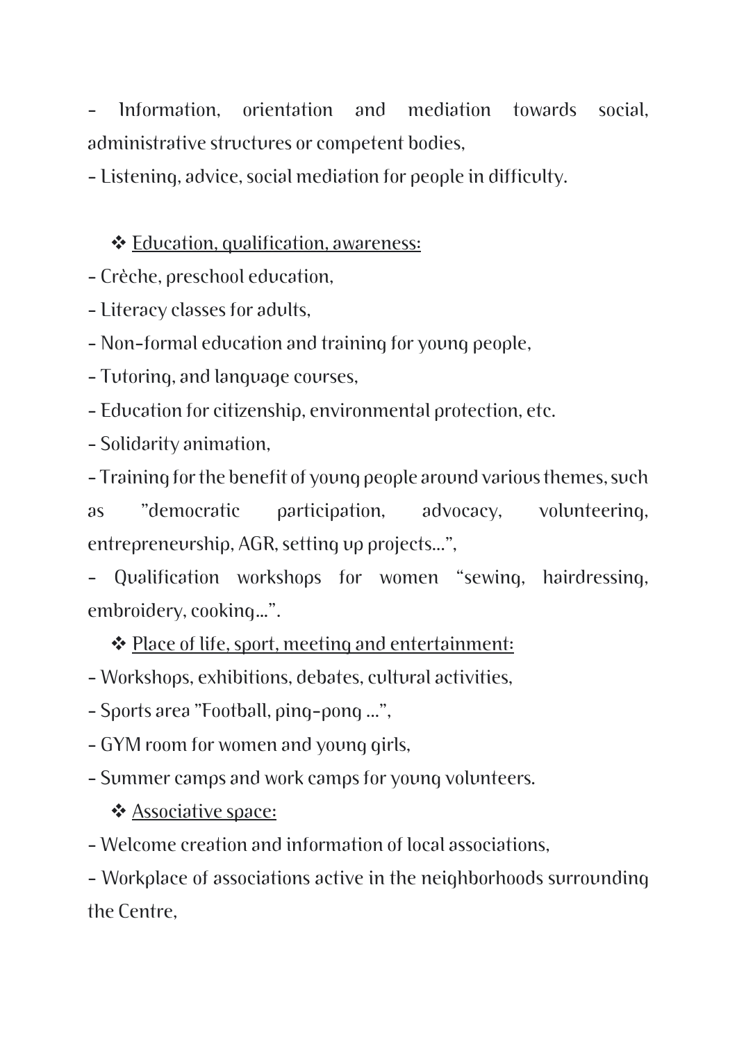Information, orientation and mediation towards social, administrative structures or competent bodies,

- Listening, advice, social mediation for people in difficulty.

#### ❖ Education, qualification, awareness:

- Crèche, preschool education,

- Literacy classes for adults,

- Non-formal education and training for young people,

- Tutoring, and language courses,

- Education for citizenship, environmental protection, etc.

- Solidarity animation,

- Training for the benefit of young people around various themes, such as "democratic participation, advocacy, volunteering, entrepreneurship, AGR, setting up projects...",

- Qualification workshops for women "sewing, hairdressing, embroidery, cooking…".

❖ Place of life, sport, meeting and entertainment:

- Workshops, exhibitions, debates, cultural activities,

- Sports area "Football, ping-pong ...",

- GYM room for women and young girls,

- Summer camps and work camps for young volunteers.

❖ Associative space:

- Welcome creation and information of local associations,

- Workplace of associations active in the neighborhoods surrounding the Centre,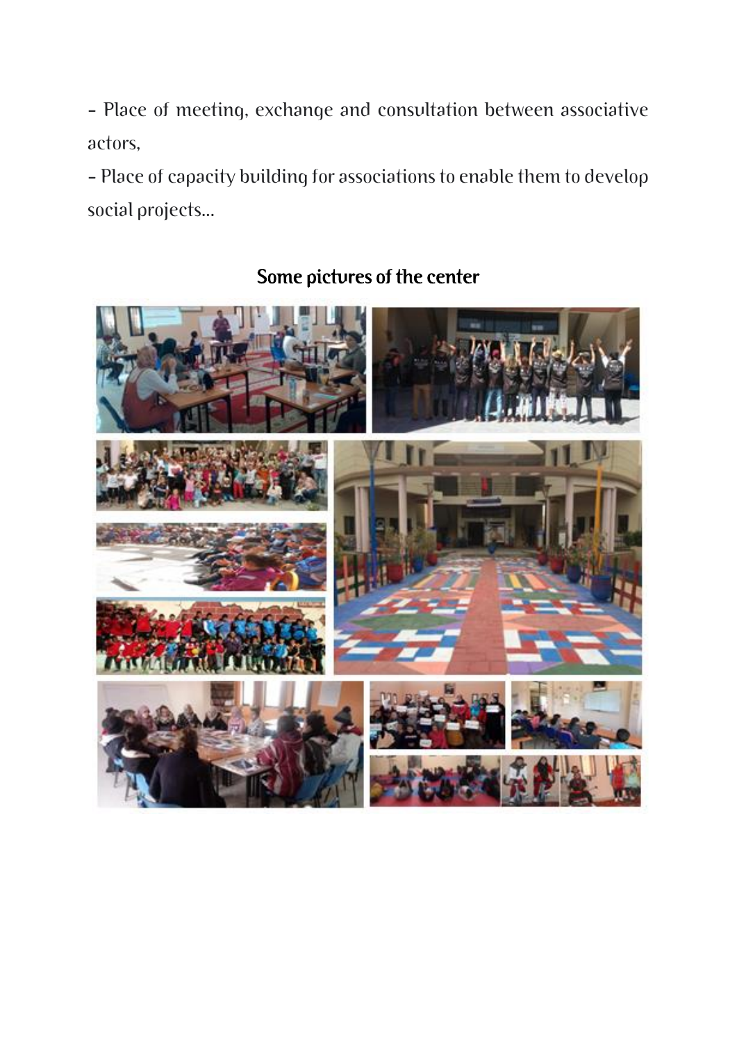- Place of meeting, exchange and consultation between associative actors,

- Place of capacity building for associations to enable them to develop social projects...



### Some pictures of the center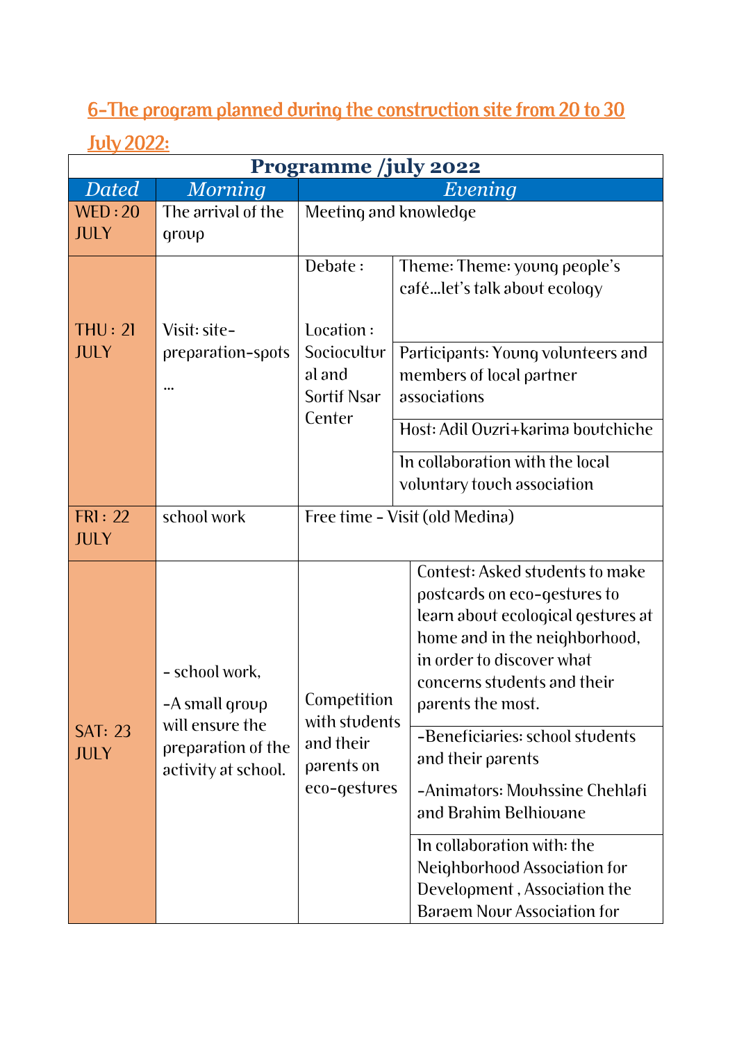## 6-The program planned during the construction site from 20 to 30

### July 2022:

| <b>Programme</b> /july 2022   |                                                                                                  |                                                                         |                                                                                                                                                                                                                                                                                                                                                                                                                                                                                |  |  |  |
|-------------------------------|--------------------------------------------------------------------------------------------------|-------------------------------------------------------------------------|--------------------------------------------------------------------------------------------------------------------------------------------------------------------------------------------------------------------------------------------------------------------------------------------------------------------------------------------------------------------------------------------------------------------------------------------------------------------------------|--|--|--|
| <b>Dated</b>                  | <b>Morning</b>                                                                                   | Evening                                                                 |                                                                                                                                                                                                                                                                                                                                                                                                                                                                                |  |  |  |
| WED:20<br><b>JULY</b>         | The arrival of the<br>qroup                                                                      | Meeting and knowledge                                                   |                                                                                                                                                                                                                                                                                                                                                                                                                                                                                |  |  |  |
|                               |                                                                                                  | Debate:                                                                 | Theme: Theme: young people's<br>cafélet's talk about ecology                                                                                                                                                                                                                                                                                                                                                                                                                   |  |  |  |
| THU: 2I<br><b>JULY</b>        | Visit: site-<br>preparation-spots                                                                | Location:<br>Sociocultur<br>al and<br>Sortif Nsar<br>Center             | Participants: Young volunteers and<br>members of local partner<br>associations<br>Host: Adil Ovzri+karima boutchiche<br>In collaboration with the local<br>voluntary touch association                                                                                                                                                                                                                                                                                         |  |  |  |
| FRI: 22<br><b>JULY</b>        | school work                                                                                      | Free time - Visit (old Medina)                                          |                                                                                                                                                                                                                                                                                                                                                                                                                                                                                |  |  |  |
| <b>SAT: 23</b><br><b>JULY</b> | - school work,<br>-A small group<br>will ensure the<br>preparation of the<br>activity at school. | Competition<br>with students<br>and their<br>parents on<br>eco-gestures | Contest: Asked students to make<br>postcards on eco-gestures to<br>learn about ecological gestures at<br>home and in the neighborhood,<br>in order to discover what<br>concerns students and their<br>parents the most.<br>-Beneficiaries: school students<br>and their parents<br>-Animators: Mouhssine Chehlafi<br>and Brahim Belhiovane<br>In collaboration with: the<br>Neighborhood Association for<br>Development, Association the<br><b>Baraem Nour Association for</b> |  |  |  |